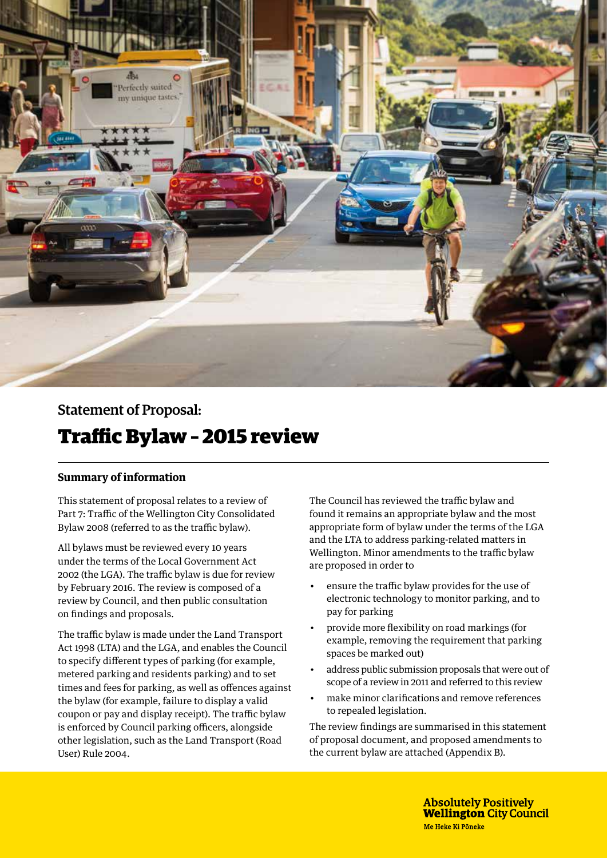

Statement of Proposal:

# Traffic Bylaw – 2015 review

## **Summary of information**

This statement of proposal relates to a review of Part 7: Traffic of the Wellington City Consolidated Bylaw 2008 (referred to as the traffic bylaw).

All bylaws must be reviewed every 10 years under the terms of the Local Government Act 2002 (the LGA). The traffic bylaw is due for review by February 2016. The review is composed of a review by Council, and then public consultation on findings and proposals.

The traffic bylaw is made under the Land Transport Act 1998 (LTA) and the LGA, and enables the Council to specify different types of parking (for example, metered parking and residents parking) and to set times and fees for parking, as well as offences against the bylaw (for example, failure to display a valid coupon or pay and display receipt). The traffic bylaw is enforced by Council parking officers, alongside other legislation, such as the Land Transport (Road User) Rule 2004.

The Council has reviewed the traffic bylaw and found it remains an appropriate bylaw and the most appropriate form of bylaw under the terms of the LGA and the LTA to address parking-related matters in Wellington. Minor amendments to the traffic bylaw are proposed in order to

- ensure the traffic bylaw provides for the use of electronic technology to monitor parking, and to pay for parking
- provide more flexibility on road markings (for example, removing the requirement that parking spaces be marked out)
- address public submission proposals that were out of scope of a review in 2011 and referred to this review
- make minor clarifications and remove references to repealed legislation.

The review findings are summarised in this statement of proposal document, and proposed amendments to the current bylaw are attached (Appendix B).

> **Absolutely Positively Wellington City Council** Me Heke Ki Pōneke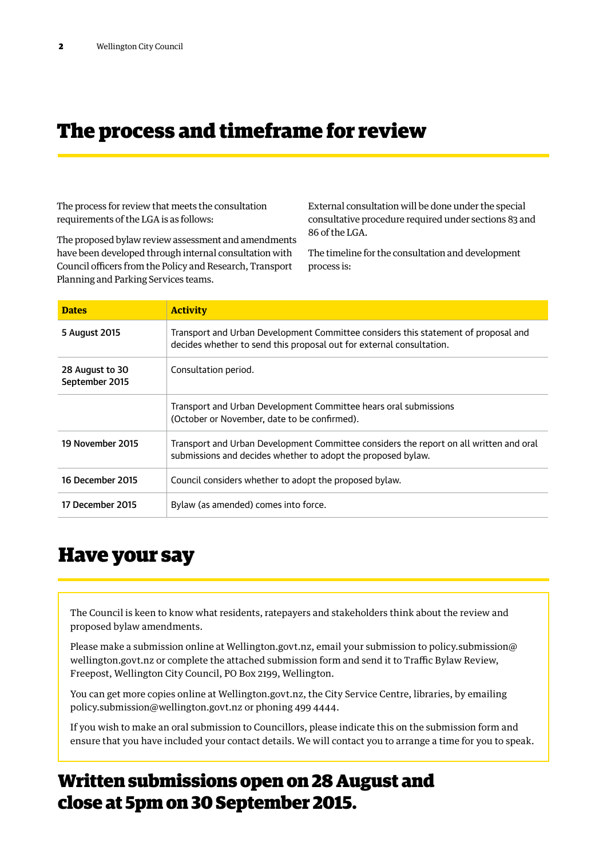# The process and timeframe for review

The process for review that meets the consultation requirements of the LGA is as follows:

External consultation will be done under the special consultative procedure required under sections 83 and 86 of the LGA.

The proposed bylaw review assessment and amendments have been developed through internal consultation with Council officers from the Policy and Research, Transport Planning and Parking Services teams.

The timeline for the consultation and development process is:

| <b>Dates</b>                      | <b>Activity</b>                                                                                                                                            |
|-----------------------------------|------------------------------------------------------------------------------------------------------------------------------------------------------------|
| 5 August 2015                     | Transport and Urban Development Committee considers this statement of proposal and<br>decides whether to send this proposal out for external consultation. |
| 28 August to 30<br>September 2015 | Consultation period.                                                                                                                                       |
|                                   | Transport and Urban Development Committee hears oral submissions<br>(October or November, date to be confirmed).                                           |
| 19 November 2015                  | Transport and Urban Development Committee considers the report on all written and oral<br>submissions and decides whether to adopt the proposed bylaw.     |
| 16 December 2015                  | Council considers whether to adopt the proposed bylaw.                                                                                                     |
| 17 December 2015                  | Bylaw (as amended) comes into force.                                                                                                                       |

## Have your say

The Council is keen to know what residents, ratepayers and stakeholders think about the review and proposed bylaw amendments.

Please make a submission online at Wellington.govt.nz, email your submission to policy.submission@ wellington.govt.nz or complete the attached submission form and send it to Traffic Bylaw Review, Freepost, Wellington City Council, PO Box 2199, Wellington.

You can get more copies online at Wellington.govt.nz, the City Service Centre, libraries, by emailing policy.submission@wellington.govt.nz or phoning 499 4444.

If you wish to make an oral submission to Councillors, please indicate this on the submission form and ensure that you have included your contact details. We will contact you to arrange a time for you to speak.

# Written submissions open on 28 August and close at 5pm on 30 September 2015.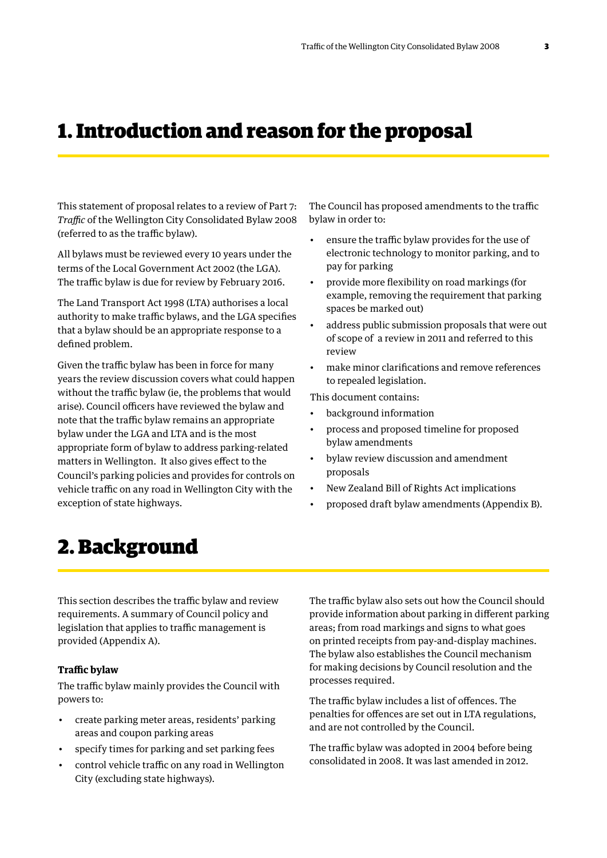# 1. Introduction and reason for the proposal

This statement of proposal relates to a review of Part 7: *Traffic* of the Wellington City Consolidated Bylaw 2008 (referred to as the traffic bylaw).

All bylaws must be reviewed every 10 years under the terms of the Local Government Act 2002 (the LGA). The traffic bylaw is due for review by February 2016.

The Land Transport Act 1998 (LTA) authorises a local authority to make traffic bylaws, and the LGA specifies that a bylaw should be an appropriate response to a defined problem.

Given the traffic bylaw has been in force for many years the review discussion covers what could happen without the traffic bylaw (ie, the problems that would arise). Council officers have reviewed the bylaw and note that the traffic bylaw remains an appropriate bylaw under the LGA and LTA and is the most appropriate form of bylaw to address parking-related matters in Wellington. It also gives effect to the Council's parking policies and provides for controls on vehicle traffic on any road in Wellington City with the exception of state highways.

The Council has proposed amendments to the traffic bylaw in order to:

- ensure the traffic bylaw provides for the use of electronic technology to monitor parking, and to pay for parking
- provide more flexibility on road markings (for example, removing the requirement that parking spaces be marked out)
- address public submission proposals that were out of scope of a review in 2011 and referred to this review
- make minor clarifications and remove references to repealed legislation.

This document contains:

- background information
- process and proposed timeline for proposed bylaw amendments
- bylaw review discussion and amendment proposals
- New Zealand Bill of Rights Act implications
- proposed draft bylaw amendments (Appendix B).

# 2. Background

This section describes the traffic bylaw and review requirements. A summary of Council policy and legislation that applies to traffic management is provided (Appendix A).

### **Traffic bylaw**

The traffic bylaw mainly provides the Council with powers to:

- create parking meter areas, residents' parking areas and coupon parking areas
- specify times for parking and set parking fees
- control vehicle traffic on any road in Wellington City (excluding state highways).

The traffic bylaw also sets out how the Council should provide information about parking in different parking areas; from road markings and signs to what goes on printed receipts from pay-and-display machines. The bylaw also establishes the Council mechanism for making decisions by Council resolution and the processes required.

The traffic bylaw includes a list of offences. The penalties for offences are set out in LTA regulations, and are not controlled by the Council.

The traffic bylaw was adopted in 2004 before being consolidated in 2008. It was last amended in 2012.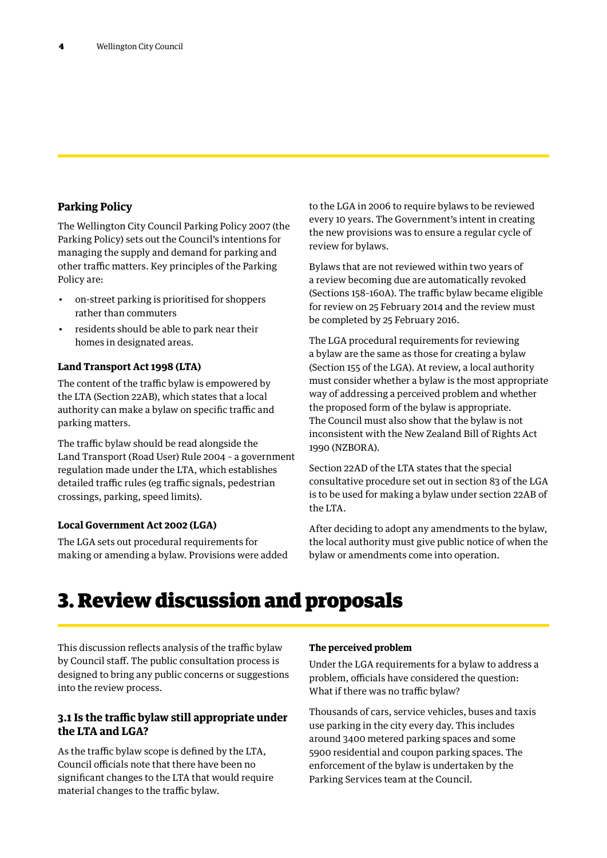## **Parking Policy**

The Wellington City Council Parking Policy 2007 (the Parking Policy) sets out the Council's intentions for managing the supply and demand for parking and other traffic matters. Key principles of the Parking Policy are:

- on-street parking is prioritised for shoppers rather than commuters
- residents should be able to park near their homes in designated areas.

### **Land Transport Act 1998 (LTA)**

The content of the traffic bylaw is empowered by the LTA (Section 22AB), which states that a local authority can make a bylaw on specific traffic and parking matters.

The traffic bylaw should be read alongside the Land Transport (Road User) Rule 2004 – a government regulation made under the LTA, which establishes detailed traffic rules (eg traffic signals, pedestrian crossings, parking, speed limits).

### **Local Government Act 2002 (LGA)**

The LGA sets out procedural requirements for making or amending a bylaw. Provisions were added to the LGA in 2006 to require bylaws to be reviewed every 10 years. The Government's intent in creating the new provisions was to ensure a regular cycle of review for bylaws.

Bylaws that are not reviewed within two years of a review becoming due are automatically revoked (Sections 158–160A). The traffic bylaw became eligible for review on 25 February 2014 and the review must be completed by 25 February 2016.

The LGA procedural requirements for reviewing a bylaw are the same as those for creating a bylaw (Section 155 of the LGA). At review, a local authority must consider whether a bylaw is the most appropriate way of addressing a perceived problem and whether the proposed form of the bylaw is appropriate. The Council must also show that the bylaw is not inconsistent with the New Zealand Bill of Rights Act 1990 (NZBORA).

Section 22AD of the LTA states that the special consultative procedure set out in section 83 of the LGA is to be used for making a bylaw under section 22AB of the LTA.

After deciding to adopt any amendments to the bylaw, the local authority must give public notice of when the bylaw or amendments come into operation.

# 3. Review discussion and proposals

This discussion reflects analysis of the traffic bylaw by Council staff. The public consultation process is designed to bring any public concerns or suggestions into the review process.

## **3.1 Is the traffic bylaw still appropriate under the LTA and LGA?**

As the traffic bylaw scope is defined by the LTA, Council officials note that there have been no significant changes to the LTA that would require material changes to the traffic bylaw.

### **The perceived problem**

Under the LGA requirements for a bylaw to address a problem, officials have considered the question: What if there was no traffic bylaw?

Thousands of cars, service vehicles, buses and taxis use parking in the city every day. This includes around 3400 metered parking spaces and some 5900 residential and coupon parking spaces. The enforcement of the bylaw is undertaken by the Parking Services team at the Council.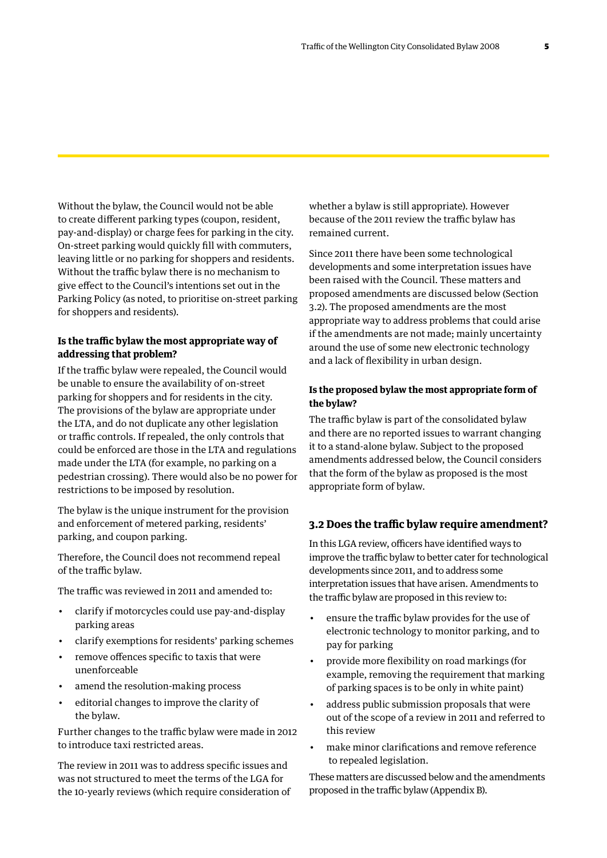Without the bylaw, the Council would not be able to create different parking types (coupon, resident, pay-and-display) or charge fees for parking in the city. On-street parking would quickly fill with commuters, leaving little or no parking for shoppers and residents. Without the traffic bylaw there is no mechanism to give effect to the Council's intentions set out in the Parking Policy (as noted, to prioritise on-street parking for shoppers and residents).

### **Is the traffic bylaw the most appropriate way of addressing that problem?**

If the traffic bylaw were repealed, the Council would be unable to ensure the availability of on-street parking for shoppers and for residents in the city. The provisions of the bylaw are appropriate under the LTA, and do not duplicate any other legislation or traffic controls. If repealed, the only controls that could be enforced are those in the LTA and regulations made under the LTA (for example, no parking on a pedestrian crossing). There would also be no power for restrictions to be imposed by resolution.

The bylaw is the unique instrument for the provision and enforcement of metered parking, residents' parking, and coupon parking.

Therefore, the Council does not recommend repeal of the traffic bylaw.

The traffic was reviewed in 2011 and amended to:

- clarify if motorcycles could use pay-and-display parking areas
- clarify exemptions for residents' parking schemes
- remove offences specific to taxis that were unenforceable
- amend the resolution-making process
- editorial changes to improve the clarity of the bylaw.

Further changes to the traffic bylaw were made in 2012 to introduce taxi restricted areas.

The review in 2011 was to address specific issues and was not structured to meet the terms of the LGA for the 10-yearly reviews (which require consideration of

whether a bylaw is still appropriate). However because of the 2011 review the traffic bylaw has remained current.

Since 2011 there have been some technological developments and some interpretation issues have been raised with the Council. These matters and proposed amendments are discussed below (Section 3.2). The proposed amendments are the most appropriate way to address problems that could arise if the amendments are not made; mainly uncertainty around the use of some new electronic technology and a lack of flexibility in urban design.

### **Is the proposed bylaw the most appropriate form of the bylaw?**

The traffic bylaw is part of the consolidated bylaw and there are no reported issues to warrant changing it to a stand-alone bylaw. Subject to the proposed amendments addressed below, the Council considers that the form of the bylaw as proposed is the most appropriate form of bylaw.

#### **3.2 Does the traffic bylaw require amendment?**

In this LGA review, officers have identified ways to improve the traffic bylaw to better cater for technological developments since 2011, and to address some interpretation issues that have arisen. Amendments to the traffic bylaw are proposed in this review to:

- ensure the traffic bylaw provides for the use of electronic technology to monitor parking, and to pay for parking
- provide more flexibility on road markings (for example, removing the requirement that marking of parking spaces is to be only in white paint)
- address public submission proposals that were out of the scope of a review in 2011 and referred to this review
- make minor clarifications and remove reference to repealed legislation.

These matters are discussed below and the amendments proposed in the traffic bylaw (Appendix B).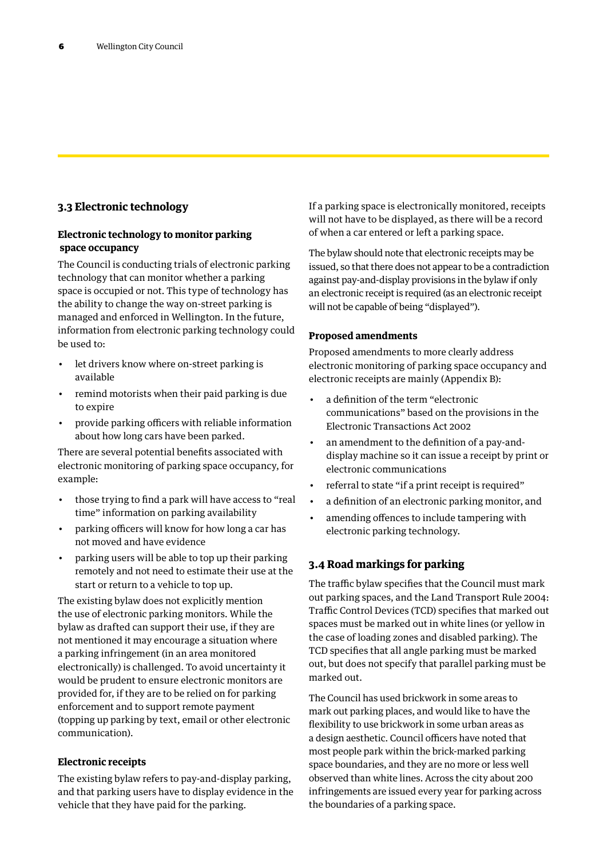## **3.3 Electronic technology**

### **Electronic technology to monitor parking space occupancy**

The Council is conducting trials of electronic parking technology that can monitor whether a parking space is occupied or not. This type of technology has the ability to change the way on-street parking is managed and enforced in Wellington. In the future, information from electronic parking technology could be used to:

- let drivers know where on-street parking is available
- remind motorists when their paid parking is due to expire
- provide parking officers with reliable information about how long cars have been parked.

There are several potential benefits associated with electronic monitoring of parking space occupancy, for example:

- those trying to find a park will have access to "real time" information on parking availability
- parking officers will know for how long a car has not moved and have evidence
- parking users will be able to top up their parking remotely and not need to estimate their use at the start or return to a vehicle to top up.

The existing bylaw does not explicitly mention the use of electronic parking monitors. While the bylaw as drafted can support their use, if they are not mentioned it may encourage a situation where a parking infringement (in an area monitored electronically) is challenged. To avoid uncertainty it would be prudent to ensure electronic monitors are provided for, if they are to be relied on for parking enforcement and to support remote payment (topping up parking by text, email or other electronic communication).

### **Electronic receipts**

The existing bylaw refers to pay-and-display parking, and that parking users have to display evidence in the vehicle that they have paid for the parking.

If a parking space is electronically monitored, receipts will not have to be displayed, as there will be a record of when a car entered or left a parking space.

The bylaw should note that electronic receipts may be issued, so that there does not appear to be a contradiction against pay-and-display provisions in the bylaw if only an electronic receipt is required (as an electronic receipt will not be capable of being "displayed").

### **Proposed amendments**

Proposed amendments to more clearly address electronic monitoring of parking space occupancy and electronic receipts are mainly (Appendix B):

- a definition of the term "electronic communications" based on the provisions in the Electronic Transactions Act 2002
- an amendment to the definition of a pay-anddisplay machine so it can issue a receipt by print or electronic communications
- referral to state "if a print receipt is required"
- a definition of an electronic parking monitor, and
- amending offences to include tampering with electronic parking technology.

## **3.4 Road markings for parking**

The traffic bylaw specifies that the Council must mark out parking spaces, and the Land Transport Rule 2004: Traffic Control Devices (TCD) specifies that marked out spaces must be marked out in white lines (or yellow in the case of loading zones and disabled parking). The TCD specifies that all angle parking must be marked out, but does not specify that parallel parking must be marked out.

The Council has used brickwork in some areas to mark out parking places, and would like to have the flexibility to use brickwork in some urban areas as a design aesthetic. Council officers have noted that most people park within the brick-marked parking space boundaries, and they are no more or less well observed than white lines. Across the city about 200 infringements are issued every year for parking across the boundaries of a parking space.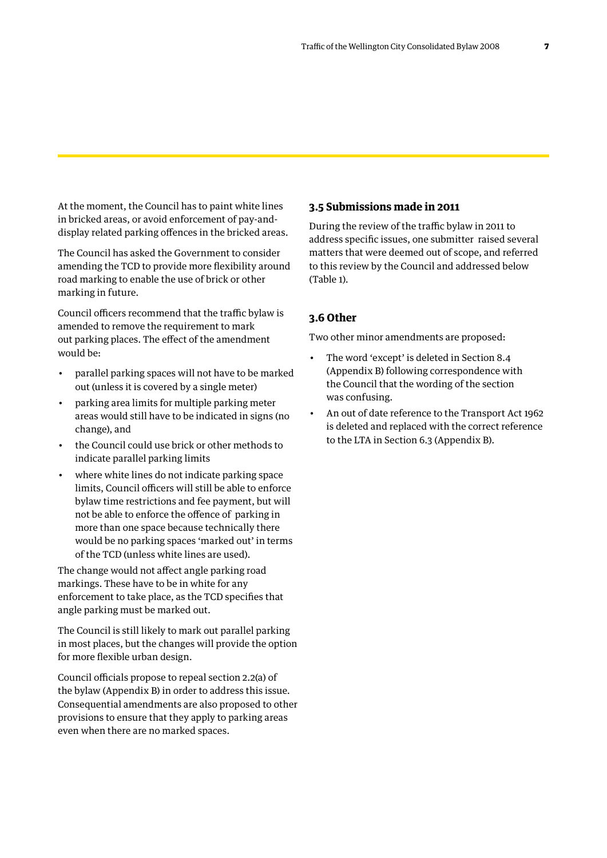At the moment, the Council has to paint white lines in bricked areas, or avoid enforcement of pay-anddisplay related parking offences in the bricked areas.

The Council has asked the Government to consider amending the TCD to provide more flexibility around road marking to enable the use of brick or other marking in future.

Council officers recommend that the traffic bylaw is amended to remove the requirement to mark out parking places. The effect of the amendment would be:

- parallel parking spaces will not have to be marked out (unless it is covered by a single meter)
- parking area limits for multiple parking meter areas would still have to be indicated in signs (no change), and
- the Council could use brick or other methods to indicate parallel parking limits
- where white lines do not indicate parking space limits, Council officers will still be able to enforce bylaw time restrictions and fee payment, but will not be able to enforce the offence of parking in more than one space because technically there would be no parking spaces 'marked out' in terms of the TCD (unless white lines are used).

The change would not affect angle parking road markings. These have to be in white for any enforcement to take place, as the TCD specifies that angle parking must be marked out.

The Council is still likely to mark out parallel parking in most places, but the changes will provide the option for more flexible urban design.

Council officials propose to repeal section 2.2(a) of the bylaw (Appendix B) in order to address this issue. Consequential amendments are also proposed to other provisions to ensure that they apply to parking areas even when there are no marked spaces.

## **3.5 Submissions made in 2011**

During the review of the traffic bylaw in 2011 to address specific issues, one submitter raised several matters that were deemed out of scope, and referred to this review by the Council and addressed below (Table 1).

### **3.6 Other**

Two other minor amendments are proposed:

- The word 'except' is deleted in Section 8.4 (Appendix B) following correspondence with the Council that the wording of the section was confusing.
- An out of date reference to the Transport Act 1962 is deleted and replaced with the correct reference to the LTA in Section 6.3 (Appendix B).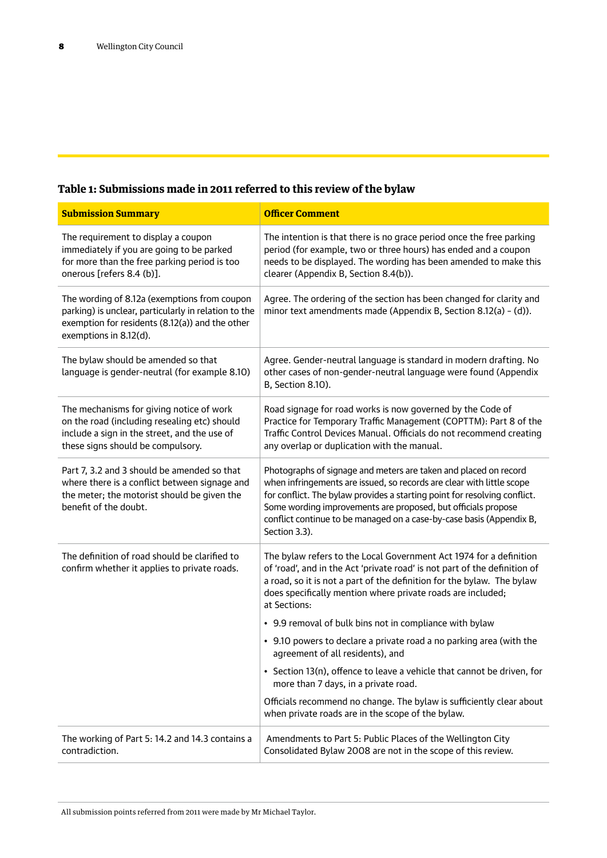## **Table 1: Submissions made in 2011 referred to this review of the bylaw**

| <b>Submission Summary</b>                                                                                                                                                         | <b>Officer Comment</b>                                                                                                                                                                                                                                                                                                                                                           |  |  |
|-----------------------------------------------------------------------------------------------------------------------------------------------------------------------------------|----------------------------------------------------------------------------------------------------------------------------------------------------------------------------------------------------------------------------------------------------------------------------------------------------------------------------------------------------------------------------------|--|--|
| The requirement to display a coupon<br>immediately if you are going to be parked<br>for more than the free parking period is too<br>onerous [refers 8.4 (b)].                     | The intention is that there is no grace period once the free parking<br>period (for example, two or three hours) has ended and a coupon<br>needs to be displayed. The wording has been amended to make this<br>clearer (Appendix B, Section 8.4(b)).                                                                                                                             |  |  |
| The wording of 8.12a (exemptions from coupon<br>parking) is unclear, particularly in relation to the<br>exemption for residents (8.12(a)) and the other<br>exemptions in 8.12(d). | Agree. The ordering of the section has been changed for clarity and<br>minor text amendments made (Appendix B, Section 8.12(a) - (d)).                                                                                                                                                                                                                                           |  |  |
| The bylaw should be amended so that<br>language is gender-neutral (for example 8.10)                                                                                              | Agree. Gender-neutral language is standard in modern drafting. No<br>other cases of non-gender-neutral language were found (Appendix<br>B, Section 8.10).                                                                                                                                                                                                                        |  |  |
| The mechanisms for giving notice of work<br>on the road (including resealing etc) should<br>include a sign in the street, and the use of<br>these signs should be compulsory.     | Road signage for road works is now governed by the Code of<br>Practice for Temporary Traffic Management (COPTTM): Part 8 of the<br>Traffic Control Devices Manual. Officials do not recommend creating<br>any overlap or duplication with the manual.                                                                                                                            |  |  |
| Part 7, 3.2 and 3 should be amended so that<br>where there is a conflict between signage and<br>the meter; the motorist should be given the<br>benefit of the doubt.              | Photographs of signage and meters are taken and placed on record<br>when infringements are issued, so records are clear with little scope<br>for conflict. The bylaw provides a starting point for resolving conflict.<br>Some wording improvements are proposed, but officials propose<br>conflict continue to be managed on a case-by-case basis (Appendix B,<br>Section 3.3). |  |  |
| The definition of road should be clarified to<br>confirm whether it applies to private roads.                                                                                     | The bylaw refers to the Local Government Act 1974 for a definition<br>of 'road', and in the Act 'private road' is not part of the definition of<br>a road, so it is not a part of the definition for the bylaw. The bylaw<br>does specifically mention where private roads are included;<br>at Sections:                                                                         |  |  |
|                                                                                                                                                                                   | • 9.9 removal of bulk bins not in compliance with bylaw                                                                                                                                                                                                                                                                                                                          |  |  |
|                                                                                                                                                                                   | • 9.10 powers to declare a private road a no parking area (with the<br>agreement of all residents), and                                                                                                                                                                                                                                                                          |  |  |
|                                                                                                                                                                                   | • Section 13(n), offence to leave a vehicle that cannot be driven, for<br>more than 7 days, in a private road.                                                                                                                                                                                                                                                                   |  |  |
|                                                                                                                                                                                   | Officials recommend no change. The bylaw is sufficiently clear about<br>when private roads are in the scope of the bylaw.                                                                                                                                                                                                                                                        |  |  |
| The working of Part 5: 14.2 and 14.3 contains a<br>contradiction.                                                                                                                 | Amendments to Part 5: Public Places of the Wellington City<br>Consolidated Bylaw 2008 are not in the scope of this review.                                                                                                                                                                                                                                                       |  |  |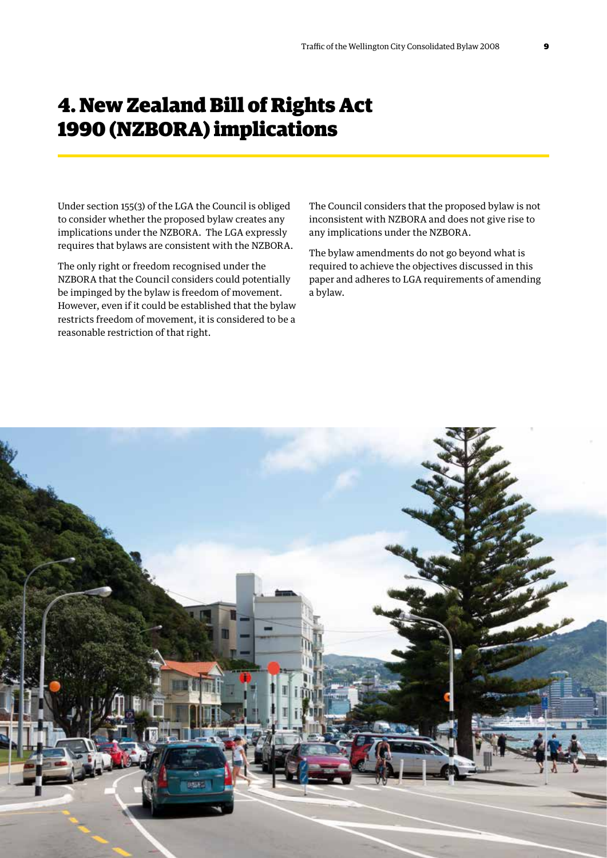# 4. New Zealand Bill of Rights Act 1990 (NZBORA) implications

Under section 155(3) of the LGA the Council is obliged to consider whether the proposed bylaw creates any implications under the NZBORA. The LGA expressly requires that bylaws are consistent with the NZBORA.

The only right or freedom recognised under the NZBORA that the Council considers could potentially be impinged by the bylaw is freedom of movement. However, even if it could be established that the bylaw restricts freedom of movement, it is considered to be a reasonable restriction of that right.

The Council considers that the proposed bylaw is not inconsistent with NZBORA and does not give rise to any implications under the NZBORA.

The bylaw amendments do not go beyond what is required to achieve the objectives discussed in this paper and adheres to LGA requirements of amending a bylaw.

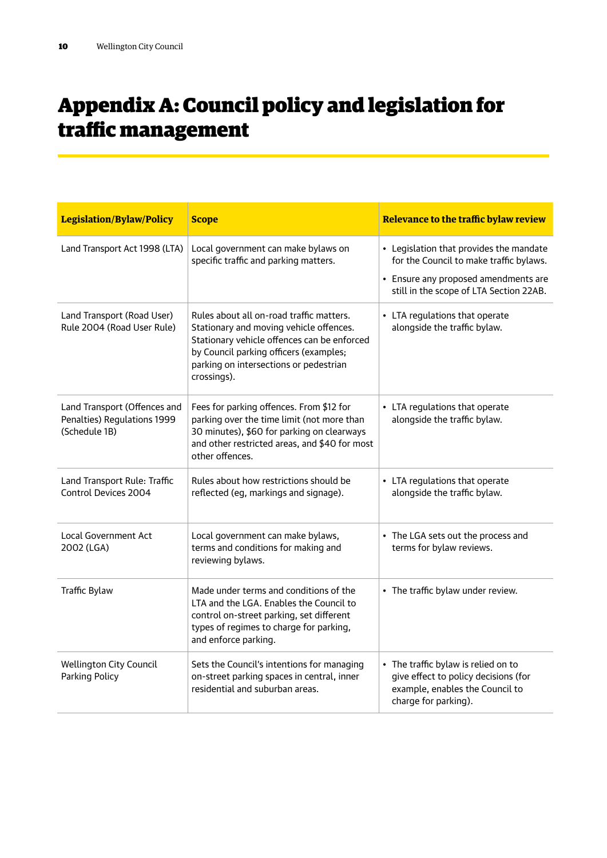# Appendix A: Council policy and legislation for traffic management

| <b>Legislation/Bylaw/Policy</b>                                              | <b>Scope</b>                                                                                                                                                                                                                          | Relevance to the traffic bylaw review                                                                                                                                 |
|------------------------------------------------------------------------------|---------------------------------------------------------------------------------------------------------------------------------------------------------------------------------------------------------------------------------------|-----------------------------------------------------------------------------------------------------------------------------------------------------------------------|
| Land Transport Act 1998 (LTA)                                                | Local government can make bylaws on<br>specific traffic and parking matters.                                                                                                                                                          | • Legislation that provides the mandate<br>for the Council to make traffic bylaws.<br>• Ensure any proposed amendments are<br>still in the scope of LTA Section 22AB. |
| Land Transport (Road User)<br>Rule 2004 (Road User Rule)                     | Rules about all on-road traffic matters.<br>Stationary and moving vehicle offences.<br>Stationary vehicle offences can be enforced<br>by Council parking officers (examples;<br>parking on intersections or pedestrian<br>crossings). | • LTA regulations that operate<br>alongside the traffic bylaw.                                                                                                        |
| Land Transport (Offences and<br>Penalties) Regulations 1999<br>(Schedule 1B) | Fees for parking offences. From \$12 for<br>parking over the time limit (not more than<br>30 minutes), \$60 for parking on clearways<br>and other restricted areas, and \$40 for most<br>other offences.                              | • LTA regulations that operate<br>alongside the traffic bylaw.                                                                                                        |
| Land Transport Rule: Traffic<br><b>Control Devices 2004</b>                  | Rules about how restrictions should be<br>reflected (eg, markings and signage).                                                                                                                                                       | • LTA regulations that operate<br>alongside the traffic bylaw.                                                                                                        |
| Local Government Act<br>2002 (LGA)                                           | Local government can make bylaws,<br>terms and conditions for making and<br>reviewing bylaws.                                                                                                                                         | • The LGA sets out the process and<br>terms for bylaw reviews.                                                                                                        |
| Traffic Bylaw                                                                | Made under terms and conditions of the<br>LTA and the LGA. Enables the Council to<br>control on-street parking, set different<br>types of regimes to charge for parking,<br>and enforce parking.                                      | • The traffic bylaw under review.                                                                                                                                     |
| <b>Wellington City Council</b><br>Parking Policy                             | Sets the Council's intentions for managing<br>on-street parking spaces in central, inner<br>residential and suburban areas.                                                                                                           | • The traffic bylaw is relied on to<br>give effect to policy decisions (for<br>example, enables the Council to<br>charge for parking).                                |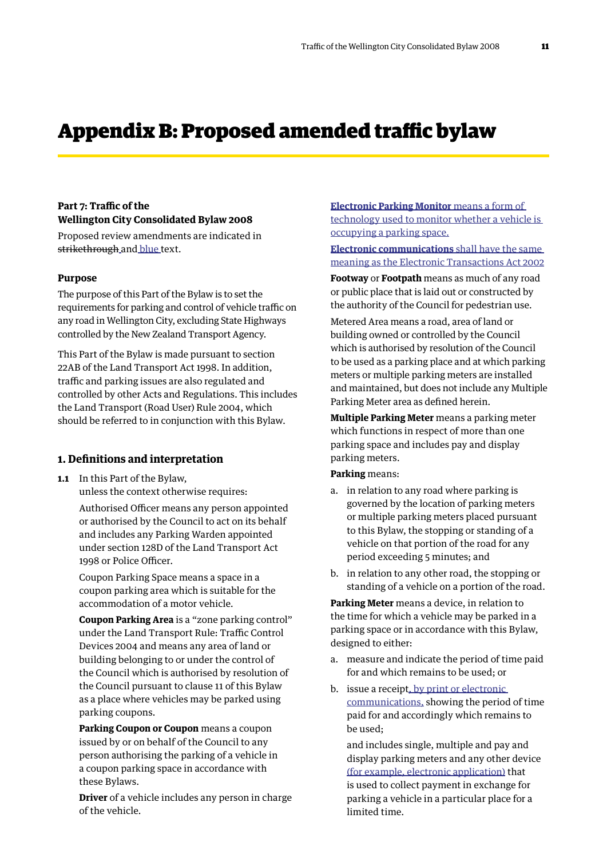# Appendix B: Proposed amended traffic bylaw

### **Part 7: Traffic of the Wellington City Consolidated Bylaw 2008**

Proposed review amendments are indicated in strikethrough and blue text.

#### **Purpose**

The purpose of this Part of the Bylaw is to set the requirements for parking and control of vehicle traffic on any road in Wellington City, excluding State Highways controlled by the New Zealand Transport Agency.

This Part of the Bylaw is made pursuant to section 22AB of the Land Transport Act 1998. In addition, traffic and parking issues are also regulated and controlled by other Acts and Regulations. This includes the Land Transport (Road User) Rule 2004, which should be referred to in conjunction with this Bylaw.

### **1. Definitions and interpretation**

**1.1** In this Part of the Bylaw, unless the context otherwise requires:

> Authorised Officer means any person appointed or authorised by the Council to act on its behalf and includes any Parking Warden appointed under section 128D of the Land Transport Act 1998 or Police Officer.

Coupon Parking Space means a space in a coupon parking area which is suitable for the accommodation of a motor vehicle.

**Coupon Parking Area** is a "zone parking control" under the Land Transport Rule: Traffic Control Devices 2004 and means any area of land or building belonging to or under the control of the Council which is authorised by resolution of the Council pursuant to clause 11 of this Bylaw as a place where vehicles may be parked using parking coupons.

**Parking Coupon or Coupon** means a coupon issued by or on behalf of the Council to any person authorising the parking of a vehicle in a coupon parking space in accordance with these Bylaws.

**Driver** of a vehicle includes any person in charge of the vehicle.

**Electronic Parking Monitor** means a form of technology used to monitor whether a vehicle is occupying a parking space.

**Electronic communications** shall have the same meaning as the Electronic Transactions Act 2002

**Footway** or **Footpath** means as much of any road or public place that is laid out or constructed by the authority of the Council for pedestrian use.

Metered Area means a road, area of land or building owned or controlled by the Council which is authorised by resolution of the Council to be used as a parking place and at which parking meters or multiple parking meters are installed and maintained, but does not include any Multiple Parking Meter area as defined herein.

**Multiple Parking Meter** means a parking meter which functions in respect of more than one parking space and includes pay and display parking meters.

#### **Parking** means:

- a. in relation to any road where parking is governed by the location of parking meters or multiple parking meters placed pursuant to this Bylaw, the stopping or standing of a vehicle on that portion of the road for any period exceeding 5 minutes; and
- b. in relation to any other road, the stopping or standing of a vehicle on a portion of the road.

**Parking Meter** means a device, in relation to the time for which a vehicle may be parked in a parking space or in accordance with this Bylaw, designed to either:

- a. measure and indicate the period of time paid for and which remains to be used; or
- b. issue a receipt, by print or electronic communications, showing the period of time paid for and accordingly which remains to be used;

and includes single, multiple and pay and display parking meters and any other device (for example, electronic application) that is used to collect payment in exchange for parking a vehicle in a particular place for a limited time.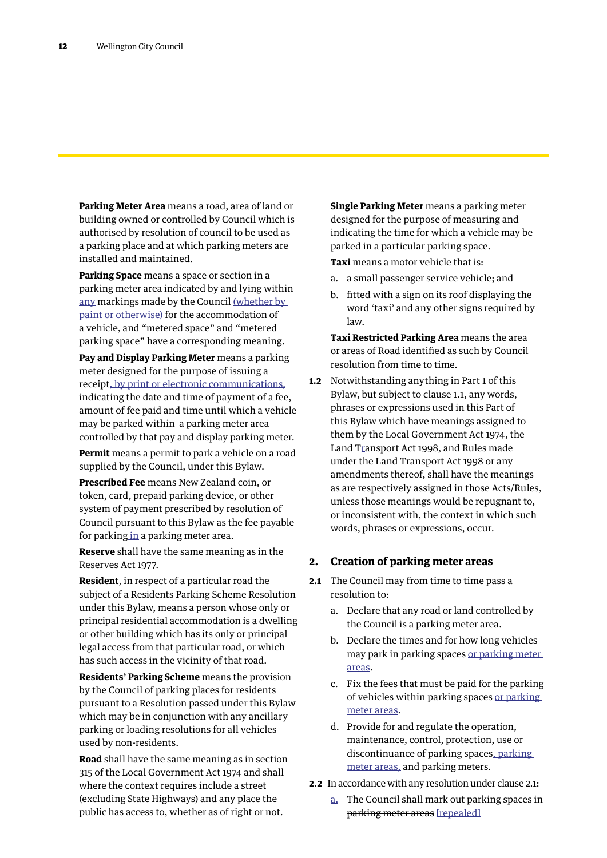**Parking Meter Area** means a road, area of land or building owned or controlled by Council which is authorised by resolution of council to be used as a parking place and at which parking meters are installed and maintained.

**Parking Space** means a space or section in a parking meter area indicated by and lying within any markings made by the Council (whether by paint or otherwise) for the accommodation of a vehicle, and "metered space" and "metered parking space" have a corresponding meaning.

**Pay and Display Parking Meter** means a parking meter designed for the purpose of issuing a receipt, by print or electronic communications, indicating the date and time of payment of a fee, amount of fee paid and time until which a vehicle may be parked within a parking meter area controlled by that pay and display parking meter.

**Permit** means a permit to park a vehicle on a road supplied by the Council, under this Bylaw.

**Prescribed Fee** means New Zealand coin, or token, card, prepaid parking device, or other system of payment prescribed by resolution of Council pursuant to this Bylaw as the fee payable for parking in a parking meter area.

**Reserve** shall have the same meaning as in the Reserves Act 1977.

**Resident**, in respect of a particular road the subject of a Residents Parking Scheme Resolution under this Bylaw, means a person whose only or principal residential accommodation is a dwelling or other building which has its only or principal legal access from that particular road, or which has such access in the vicinity of that road.

**Residents' Parking Scheme** means the provision by the Council of parking places for residents pursuant to a Resolution passed under this Bylaw which may be in conjunction with any ancillary parking or loading resolutions for all vehicles used by non-residents.

**Road** shall have the same meaning as in section 315 of the Local Government Act 1974 and shall where the context requires include a street (excluding State Highways) and any place the public has access to, whether as of right or not.

**Single Parking Meter** means a parking meter designed for the purpose of measuring and indicating the time for which a vehicle may be parked in a particular parking space.

**Taxi** means a motor vehicle that is:

- a. a small passenger service vehicle; and
- b. fitted with a sign on its roof displaying the word 'taxi' and any other signs required by  $l$ aw.

**Taxi Restricted Parking Area** means the area or areas of Road identified as such by Council resolution from time to time.

**1.2** Notwithstanding anything in Part 1 of this Bylaw, but subject to clause 1.1, any words, phrases or expressions used in this Part of this Bylaw which have meanings assigned to them by the Local Government Act 1974, the Land Transport Act 1998, and Rules made under the Land Transport Act 1998 or any amendments thereof, shall have the meanings as are respectively assigned in those Acts/Rules, unless those meanings would be repugnant to, or inconsistent with, the context in which such words, phrases or expressions, occur.

### **2. Creation of parking meter areas**

- **2.1** The Council may from time to time pass a resolution to:
	- a. Declare that any road or land controlled by the Council is a parking meter area.
	- b. Declare the times and for how long vehicles may park in parking spaces or parking meter areas.
	- c. Fix the fees that must be paid for the parking of vehicles within parking spaces or parking meter areas.
	- d. Provide for and regulate the operation, maintenance, control, protection, use or discontinuance of parking spaces, parking meter areas, and parking meters.
- **2.2** In accordance with any resolution under clause 2.1:
	- a. The Council shall mark out parking spaces in parking meter areas [repealed]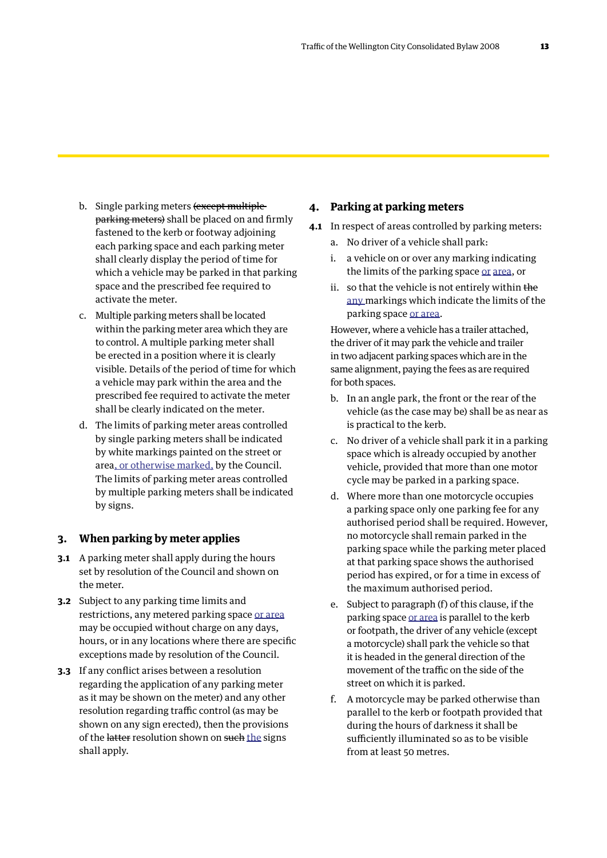- b. Single parking meters (except multipleparking meters) shall be placed on and firmly fastened to the kerb or footway adjoining each parking space and each parking meter shall clearly display the period of time for which a vehicle may be parked in that parking space and the prescribed fee required to activate the meter.
- c. Multiple parking meters shall be located within the parking meter area which they are to control. A multiple parking meter shall be erected in a position where it is clearly visible. Details of the period of time for which a vehicle may park within the area and the prescribed fee required to activate the meter shall be clearly indicated on the meter.
- d. The limits of parking meter areas controlled by single parking meters shall be indicated by white markings painted on the street or area, or otherwise marked, by the Council. The limits of parking meter areas controlled by multiple parking meters shall be indicated by signs.

### **3. When parking by meter applies**

- **3.1** A parking meter shall apply during the hours set by resolution of the Council and shown on the meter.
- **3.2** Subject to any parking time limits and restrictions, any metered parking space or area may be occupied without charge on any days, hours, or in any locations where there are specific exceptions made by resolution of the Council.
- **3.3** If any conflict arises between a resolution regarding the application of any parking meter as it may be shown on the meter) and any other resolution regarding traffic control (as may be shown on any sign erected), then the provisions of the latter resolution shown on such the signs shall apply.

### **4. Parking at parking meters**

- **4.1** In respect of areas controlled by parking meters:
	- a. No driver of a vehicle shall park:
	- i. a vehicle on or over any marking indicating the limits of the parking space or area, or
	- ii. so that the vehicle is not entirely within the any markings which indicate the limits of the parking space or area.

However, where a vehicle has a trailer attached, the driver of it may park the vehicle and trailer in two adjacent parking spaces which are in the same alignment, paying the fees as are required for both spaces.

- b. In an angle park, the front or the rear of the vehicle (as the case may be) shall be as near as is practical to the kerb.
- c. No driver of a vehicle shall park it in a parking space which is already occupied by another vehicle, provided that more than one motor cycle may be parked in a parking space.
- d. Where more than one motorcycle occupies a parking space only one parking fee for any authorised period shall be required. However, no motorcycle shall remain parked in the parking space while the parking meter placed at that parking space shows the authorised period has expired, or for a time in excess of the maximum authorised period.
- e. Subject to paragraph (f) of this clause, if the parking space or area is parallel to the kerb or footpath, the driver of any vehicle (except a motorcycle) shall park the vehicle so that it is headed in the general direction of the movement of the traffic on the side of the street on which it is parked.
- f. A motorcycle may be parked otherwise than parallel to the kerb or footpath provided that during the hours of darkness it shall be sufficiently illuminated so as to be visible from at least 50 metres.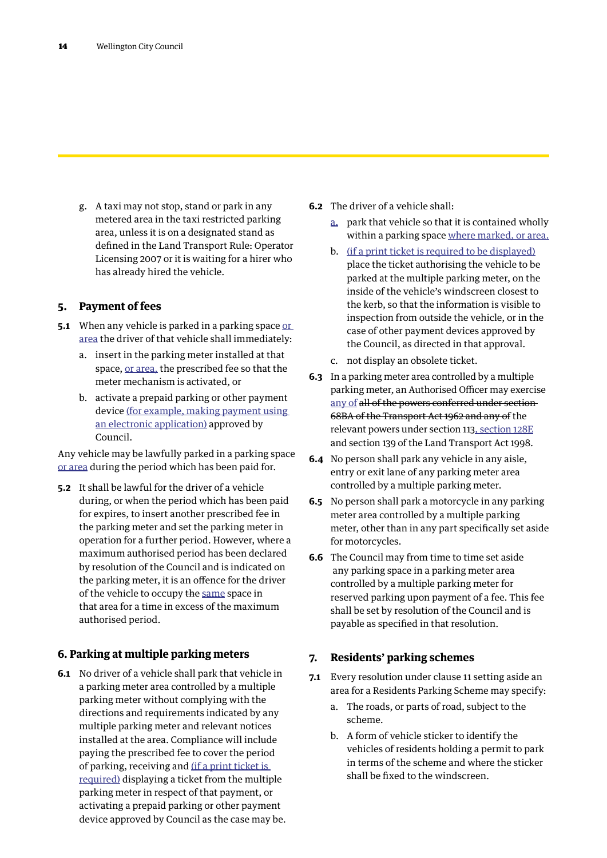g. A taxi may not stop, stand or park in any metered area in the taxi restricted parking area, unless it is on a designated stand as defined in the Land Transport Rule: Operator Licensing 2007 or it is waiting for a hirer who has already hired the vehicle.

### **5. Payment of fees**

- **5.1** When any vehicle is parked in a parking space or area the driver of that vehicle shall immediately:
	- a. insert in the parking meter installed at that space, or area, the prescribed fee so that the meter mechanism is activated, or
	- b. activate a prepaid parking or other payment device (for example, making payment using an electronic application) approved by Council.

Any vehicle may be lawfully parked in a parking space or area during the period which has been paid for.

**5.2** It shall be lawful for the driver of a vehicle during, or when the period which has been paid for expires, to insert another prescribed fee in the parking meter and set the parking meter in operation for a further period. However, where a maximum authorised period has been declared by resolution of the Council and is indicated on the parking meter, it is an offence for the driver of the vehicle to occupy the same space in that area for a time in excess of the maximum authorised period.

### **6. Parking at multiple parking meters**

**6.1** No driver of a vehicle shall park that vehicle in a parking meter area controlled by a multiple parking meter without complying with the directions and requirements indicated by any multiple parking meter and relevant notices installed at the area. Compliance will include paying the prescribed fee to cover the period of parking, receiving and (if a print ticket is required) displaying a ticket from the multiple parking meter in respect of that payment, or activating a prepaid parking or other payment device approved by Council as the case may be.

- **6.2** The driver of a vehicle shall:
	- a. park that vehicle so that it is contained wholly within a parking space where marked, or area.
	- b. (if a print ticket is required to be displayed) place the ticket authorising the vehicle to be parked at the multiple parking meter, on the inside of the vehicle's windscreen closest to the kerb, so that the information is visible to inspection from outside the vehicle, or in the case of other payment devices approved by the Council, as directed in that approval.
	- c. not display an obsolete ticket.
- **6.3** In a parking meter area controlled by a multiple parking meter, an Authorised Officer may exercise any of all of the powers conferred under section 68BA of the Transport Act 1962 and any of the relevant powers under section 113, section 128E and section 139 of the Land Transport Act 1998.
- **6.4** No person shall park any vehicle in any aisle, entry or exit lane of any parking meter area controlled by a multiple parking meter.
- **6.5** No person shall park a motorcycle in any parking meter area controlled by a multiple parking meter, other than in any part specifically set aside for motorcycles.
- **6.6** The Council may from time to time set aside any parking space in a parking meter area controlled by a multiple parking meter for reserved parking upon payment of a fee. This fee shall be set by resolution of the Council and is payable as specified in that resolution.

### **7. Residents' parking schemes**

- **7.1** Every resolution under clause 11 setting aside an area for a Residents Parking Scheme may specify:
	- a. The roads, or parts of road, subject to the scheme.
	- b. A form of vehicle sticker to identify the vehicles of residents holding a permit to park in terms of the scheme and where the sticker shall be fixed to the windscreen.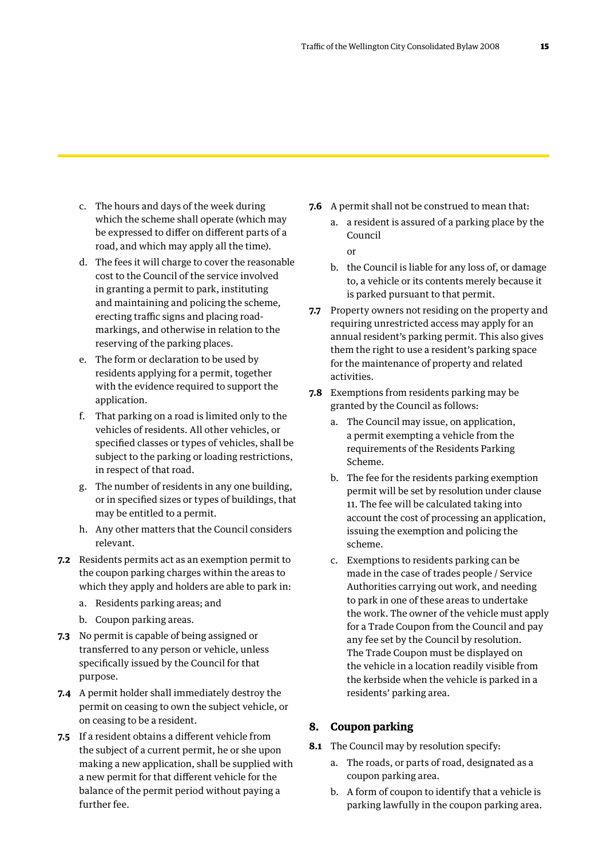- c. The hours and days of the week during which the scheme shall operate (which may be expressed to differ on different parts of a road, and which may apply all the time).
- d. The fees it will charge to cover the reasonable cost to the Council of the service involved in granting a permit to park, instituting and maintaining and policing the scheme, erecting traffic signs and placing roadmarkings, and otherwise in relation to the reserving of the parking places.
- e. The form or declaration to be used by residents applying for a permit, together with the evidence required to support the application.
- f. That parking on a road is limited only to the vehicles of residents. All other vehicles, or specified classes or types of vehicles, shall be subject to the parking or loading restrictions, in respect of that road.
- g. The number of residents in any one building, or in specified sizes or types of buildings, that may be entitled to a permit.
- h. Any other matters that the Council considers relevant.
- **7.2** Residents permits act as an exemption permit to the coupon parking charges within the areas to which they apply and holders are able to park in:
	- a. Residents parking areas; and
	- b. Coupon parking areas.
- **7.3** No permit is capable of being assigned or transferred to any person or vehicle, unless specifically issued by the Council for that purpose.
- **7.4** A permit holder shall immediately destroy the permit on ceasing to own the subject vehicle, or on ceasing to be a resident.
- **7.5** If a resident obtains a different vehicle from the subject of a current permit, he or she upon making a new application, shall be supplied with a new permit for that different vehicle for the balance of the permit period without paying a further fee.
- **7.6** A permit shall not be construed to mean that:
	- a. a resident is assured of a parking place by the Council

or

- b. the Council is liable for any loss of, or damage to, a vehicle or its contents merely because it is parked pursuant to that permit.
- **7.7** Property owners not residing on the property and requiring unrestricted access may apply for an annual resident's parking permit. This also gives them the right to use a resident's parking space for the maintenance of property and related activities.
- **7.8** Exemptions from residents parking may be granted by the Council as follows:
	- a. The Council may issue, on application, a permit exempting a vehicle from the requirements of the Residents Parking Scheme.
	- b. The fee for the residents parking exemption permit will be set by resolution under clause 11. The fee will be calculated taking into account the cost of processing an application, issuing the exemption and policing the scheme.
	- c. Exemptions to residents parking can be made in the case of trades people / Service Authorities carrying out work, and needing to park in one of these areas to undertake the work. The owner of the vehicle must apply for a Trade Coupon from the Council and pay any fee set by the Council by resolution. The Trade Coupon must be displayed on the vehicle in a location readily visible from the kerbside when the vehicle is parked in a residents' parking area.

### **8. Coupon parking**

- **8.1** The Council may by resolution specify:
	- a. The roads, or parts of road, designated as a coupon parking area.
	- b. A form of coupon to identify that a vehicle is parking lawfully in the coupon parking area.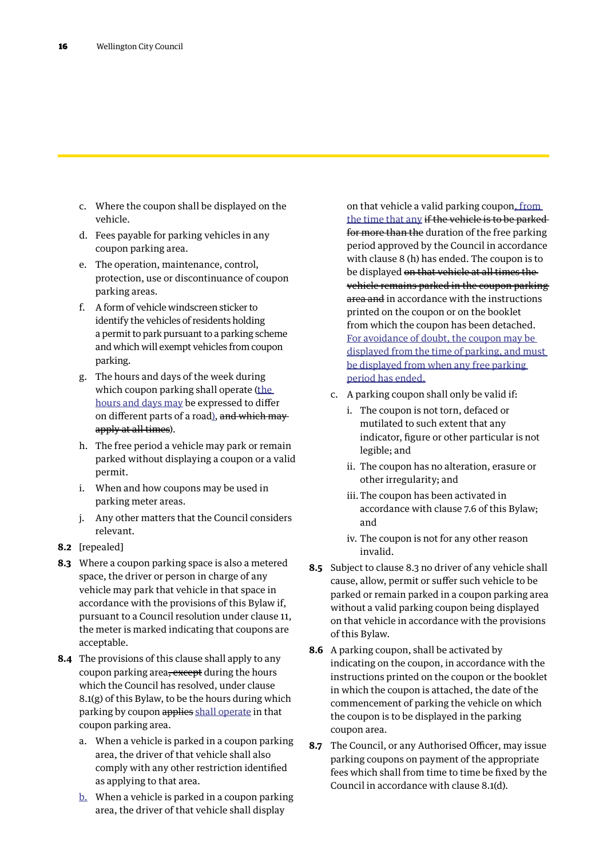- c. Where the coupon shall be displayed on the vehicle.
- d. Fees payable for parking vehicles in any coupon parking area.
- e. The operation, maintenance, control, protection, use or discontinuance of coupon parking areas.
- f. A form of vehicle windscreen sticker to identify the vehicles of residents holding a permit to park pursuant to a parking scheme and which will exempt vehicles from coupon parking.
- g. The hours and days of the week during which coupon parking shall operate (the hours and days may be expressed to differ on different parts of a road), and which mayapply at all times).
- h. The free period a vehicle may park or remain parked without displaying a coupon or a valid permit.
- i. When and how coupons may be used in parking meter areas.
- j. Any other matters that the Council considers relevant.
- **8.2** [repealed]
- **8.3** Where a coupon parking space is also a metered space, the driver or person in charge of any vehicle may park that vehicle in that space in accordance with the provisions of this Bylaw if, pursuant to a Council resolution under clause 11, the meter is marked indicating that coupons are acceptable.
- **8.4** The provisions of this clause shall apply to any coupon parking area, except during the hours which the Council has resolved, under clause 8.1(g) of this Bylaw, to be the hours during which parking by coupon applies shall operate in that coupon parking area.
	- a. When a vehicle is parked in a coupon parking area, the driver of that vehicle shall also comply with any other restriction identified as applying to that area.
	- b. When a vehicle is parked in a coupon parking area, the driver of that vehicle shall display

on that vehicle a valid parking coupon, from the time that any if the vehicle is to be parked for more than the duration of the free parking period approved by the Council in accordance with clause 8 (h) has ended. The coupon is to be displayed on that vehicle at all times the vehicle remains parked in the coupon parking area and in accordance with the instructions printed on the coupon or on the booklet from which the coupon has been detached. For avoidance of doubt, the coupon may be displayed from the time of parking, and must be displayed from when any free parking period has ended.

- c. A parking coupon shall only be valid if:
	- i. The coupon is not torn, defaced or mutilated to such extent that any indicator, figure or other particular is not legible; and
	- ii. The coupon has no alteration, erasure or other irregularity; and
	- iii. The coupon has been activated in accordance with clause 7.6 of this Bylaw; and
	- iv. The coupon is not for any other reason invalid.
- **8.5** Subject to clause 8.3 no driver of any vehicle shall cause, allow, permit or suffer such vehicle to be parked or remain parked in a coupon parking area without a valid parking coupon being displayed on that vehicle in accordance with the provisions of this Bylaw.
- **8.6** A parking coupon, shall be activated by indicating on the coupon, in accordance with the instructions printed on the coupon or the booklet in which the coupon is attached, the date of the commencement of parking the vehicle on which the coupon is to be displayed in the parking coupon area.
- **8.7** The Council, or any Authorised Officer, may issue parking coupons on payment of the appropriate fees which shall from time to time be fixed by the Council in accordance with clause 8.1(d).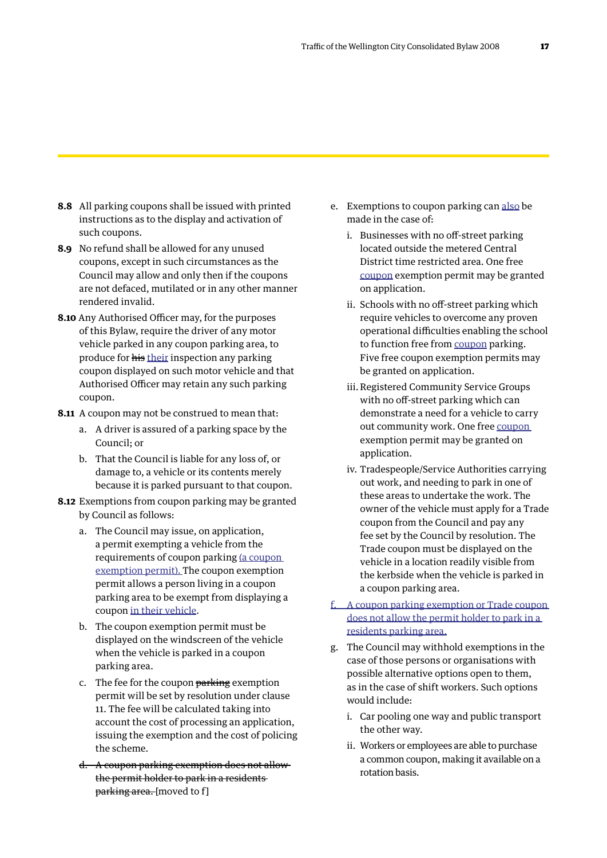- **8.8** All parking coupons shall be issued with printed instructions as to the display and activation of such coupons.
- **8.9** No refund shall be allowed for any unused coupons, except in such circumstances as the Council may allow and only then if the coupons are not defaced, mutilated or in any other manner rendered invalid.
- **8.10** Any Authorised Officer may, for the purposes of this Bylaw, require the driver of any motor vehicle parked in any coupon parking area, to produce for his their inspection any parking coupon displayed on such motor vehicle and that Authorised Officer may retain any such parking coupon.
- **8.11** A coupon may not be construed to mean that:
	- a. A driver is assured of a parking space by the Council; or
	- b. That the Council is liable for any loss of, or damage to, a vehicle or its contents merely because it is parked pursuant to that coupon.
- **8.12** Exemptions from coupon parking may be granted by Council as follows:
	- a. The Council may issue, on application, a permit exempting a vehicle from the requirements of coupon parking (a coupon exemption permit). The coupon exemption permit allows a person living in a coupon parking area to be exempt from displaying a coupon in their vehicle.
	- b. The coupon exemption permit must be displayed on the windscreen of the vehicle when the vehicle is parked in a coupon parking area.
	- c. The fee for the coupon parking exemption permit will be set by resolution under clause 11. The fee will be calculated taking into account the cost of processing an application, issuing the exemption and the cost of policing the scheme.
	- d. A coupon parking exemption does not allow the permit holder to park in a residents parking area. [moved to f]
- e. Exemptions to coupon parking can also be made in the case of:
	- i. Businesses with no off-street parking located outside the metered Central District time restricted area. One free coupon exemption permit may be granted on application.
	- ii. Schools with no off-street parking which require vehicles to overcome any proven operational difficulties enabling the school to function free from coupon parking. Five free coupon exemption permits may be granted on application.
	- iii.Registered Community Service Groups with no off-street parking which can demonstrate a need for a vehicle to carry out community work. One free coupon exemption permit may be granted on application.
	- iv. Tradespeople/Service Authorities carrying out work, and needing to park in one of these areas to undertake the work. The owner of the vehicle must apply for a Trade coupon from the Council and pay any fee set by the Council by resolution. The Trade coupon must be displayed on the vehicle in a location readily visible from the kerbside when the vehicle is parked in a coupon parking area.
- f. A coupon parking exemption or Trade coupon does not allow the permit holder to park in a residents parking area.
- g. The Council may withhold exemptions in the case of those persons or organisations with possible alternative options open to them, as in the case of shift workers. Such options would include:
	- i. Car pooling one way and public transport the other way.
	- ii. Workers or employees are able to purchase a common coupon, making it available on a rotation basis.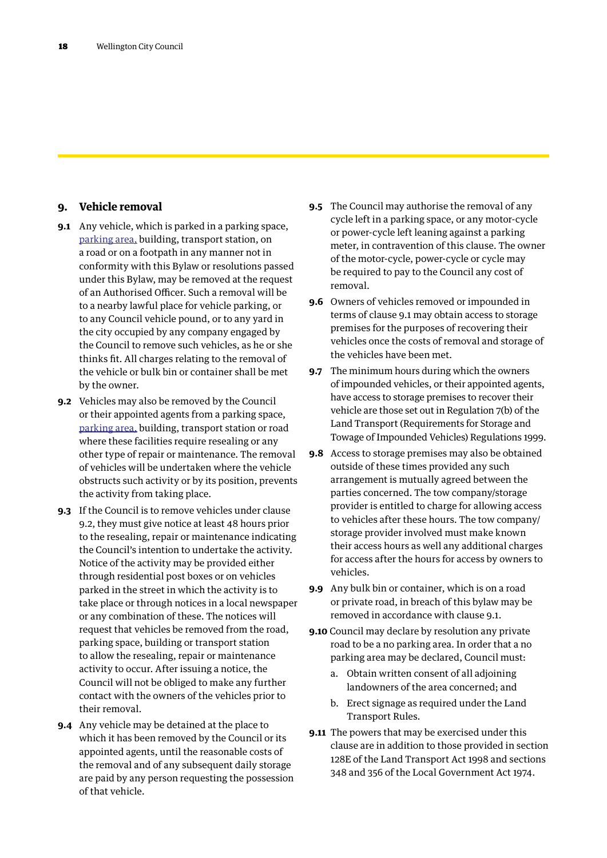## **9. Vehicle removal**

- **9.1** Any vehicle, which is parked in a parking space, parking area, building, transport station, on a road or on a footpath in any manner not in conformity with this Bylaw or resolutions passed under this Bylaw, may be removed at the request of an Authorised Officer. Such a removal will be to a nearby lawful place for vehicle parking, or to any Council vehicle pound, or to any yard in the city occupied by any company engaged by the Council to remove such vehicles, as he or she thinks fit. All charges relating to the removal of the vehicle or bulk bin or container shall be met by the owner.
- **9.2** Vehicles may also be removed by the Council or their appointed agents from a parking space, parking area, building, transport station or road where these facilities require resealing or any other type of repair or maintenance. The removal of vehicles will be undertaken where the vehicle obstructs such activity or by its position, prevents the activity from taking place.
- **9.3** If the Council is to remove vehicles under clause 9.2, they must give notice at least 48 hours prior to the resealing, repair or maintenance indicating the Council's intention to undertake the activity. Notice of the activity may be provided either through residential post boxes or on vehicles parked in the street in which the activity is to take place or through notices in a local newspaper or any combination of these. The notices will request that vehicles be removed from the road, parking space, building or transport station to allow the resealing, repair or maintenance activity to occur. After issuing a notice, the Council will not be obliged to make any further contact with the owners of the vehicles prior to their removal.
- **9.4** Any vehicle may be detained at the place to which it has been removed by the Council or its appointed agents, until the reasonable costs of the removal and of any subsequent daily storage are paid by any person requesting the possession of that vehicle.
- **9.5** The Council may authorise the removal of any cycle left in a parking space, or any motor-cycle or power-cycle left leaning against a parking meter, in contravention of this clause. The owner of the motor-cycle, power-cycle or cycle may be required to pay to the Council any cost of removal.
- **9.6** Owners of vehicles removed or impounded in terms of clause 9.1 may obtain access to storage premises for the purposes of recovering their vehicles once the costs of removal and storage of the vehicles have been met.
- **9.7** The minimum hours during which the owners of impounded vehicles, or their appointed agents, have access to storage premises to recover their vehicle are those set out in Regulation 7(b) of the Land Transport (Requirements for Storage and Towage of Impounded Vehicles) Regulations 1999.
- **9.8** Access to storage premises may also be obtained outside of these times provided any such arrangement is mutually agreed between the parties concerned. The tow company/storage provider is entitled to charge for allowing access to vehicles after these hours. The tow company/ storage provider involved must make known their access hours as well any additional charges for access after the hours for access by owners to vehicles.
- **9.9** Any bulk bin or container, which is on a road or private road, in breach of this bylaw may be removed in accordance with clause 9.1.
- **9.10** Council may declare by resolution any private road to be a no parking area. In order that a no parking area may be declared, Council must:
	- a. Obtain written consent of all adjoining landowners of the area concerned; and
	- b. Erect signage as required under the Land Transport Rules.
- **9.11** The powers that may be exercised under this clause are in addition to those provided in section 128E of the Land Transport Act 1998 and sections 348 and 356 of the Local Government Act 1974.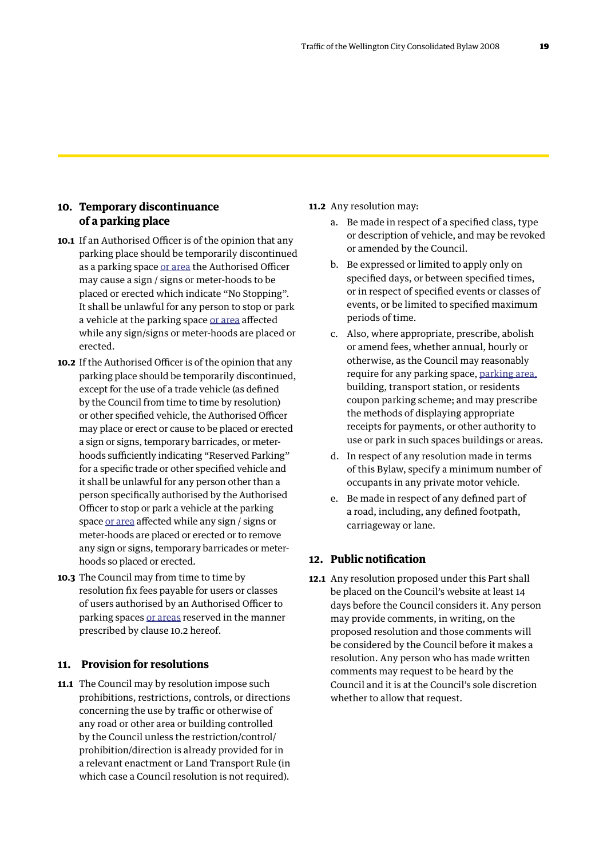### **10. Temporary discontinuance of a parking place**

- **10.1** If an Authorised Officer is of the opinion that any parking place should be temporarily discontinued as a parking space or area the Authorised Officer may cause a sign / signs or meter-hoods to be placed or erected which indicate "No Stopping". It shall be unlawful for any person to stop or park a vehicle at the parking space or area affected while any sign/signs or meter-hoods are placed or erected.
- **10.2** If the Authorised Officer is of the opinion that any parking place should be temporarily discontinued, except for the use of a trade vehicle (as defined by the Council from time to time by resolution) or other specified vehicle, the Authorised Officer may place or erect or cause to be placed or erected a sign or signs, temporary barricades, or meterhoods sufficiently indicating "Reserved Parking" for a specific trade or other specified vehicle and it shall be unlawful for any person other than a person specifically authorised by the Authorised Officer to stop or park a vehicle at the parking space or area affected while any sign / signs or meter-hoods are placed or erected or to remove any sign or signs, temporary barricades or meterhoods so placed or erected.
- **10.3** The Council may from time to time by resolution fix fees payable for users or classes of users authorised by an Authorised Officer to parking spaces or areas reserved in the manner prescribed by clause 10.2 hereof.

## **11. Provision for resolutions**

**11.1** The Council may by resolution impose such prohibitions, restrictions, controls, or directions concerning the use by traffic or otherwise of any road or other area or building controlled by the Council unless the restriction/control/ prohibition/direction is already provided for in a relevant enactment or Land Transport Rule (in which case a Council resolution is not required).

#### **11.2** Any resolution may:

- a. Be made in respect of a specified class, type or description of vehicle, and may be revoked or amended by the Council.
- b. Be expressed or limited to apply only on specified days, or between specified times, or in respect of specified events or classes of events, or be limited to specified maximum periods of time.
- c. Also, where appropriate, prescribe, abolish or amend fees, whether annual, hourly or otherwise, as the Council may reasonably require for any parking space, parking area, building, transport station, or residents coupon parking scheme; and may prescribe the methods of displaying appropriate receipts for payments, or other authority to use or park in such spaces buildings or areas.
- d. In respect of any resolution made in terms of this Bylaw, specify a minimum number of occupants in any private motor vehicle.
- e. Be made in respect of any defined part of a road, including, any defined footpath, carriageway or lane.

### **12. Public notification**

**12.1** Any resolution proposed under this Part shall be placed on the Council's website at least 14 days before the Council considers it. Any person may provide comments, in writing, on the proposed resolution and those comments will be considered by the Council before it makes a resolution. Any person who has made written comments may request to be heard by the Council and it is at the Council's sole discretion whether to allow that request.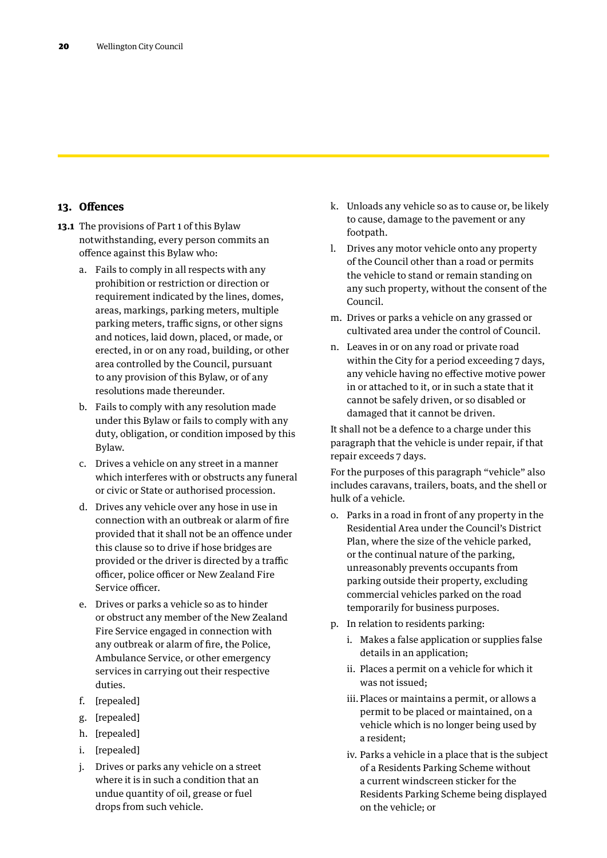### **13. Offences**

- **13.1** The provisions of Part 1 of this Bylaw notwithstanding, every person commits an offence against this Bylaw who:
	- a. Fails to comply in all respects with any prohibition or restriction or direction or requirement indicated by the lines, domes, areas, markings, parking meters, multiple parking meters, traffic signs, or other signs and notices, laid down, placed, or made, or erected, in or on any road, building, or other area controlled by the Council, pursuant to any provision of this Bylaw, or of any resolutions made thereunder.
	- b. Fails to comply with any resolution made under this Bylaw or fails to comply with any duty, obligation, or condition imposed by this Bylaw.
	- c. Drives a vehicle on any street in a manner which interferes with or obstructs any funeral or civic or State or authorised procession.
	- d. Drives any vehicle over any hose in use in connection with an outbreak or alarm of fire provided that it shall not be an offence under this clause so to drive if hose bridges are provided or the driver is directed by a traffic officer, police officer or New Zealand Fire Service officer.
	- e. Drives or parks a vehicle so as to hinder or obstruct any member of the New Zealand Fire Service engaged in connection with any outbreak or alarm of fire, the Police, Ambulance Service, or other emergency services in carrying out their respective duties.
	- f. [repealed]
	- g. [repealed]
	- h. [repealed]
	- i. [repealed]
	- j. Drives or parks any vehicle on a street where it is in such a condition that an undue quantity of oil, grease or fuel drops from such vehicle.
- k. Unloads any vehicle so as to cause or, be likely to cause, damage to the pavement or any footpath.
- l. Drives any motor vehicle onto any property of the Council other than a road or permits the vehicle to stand or remain standing on any such property, without the consent of the Council.
- m. Drives or parks a vehicle on any grassed or cultivated area under the control of Council.
- n. Leaves in or on any road or private road within the City for a period exceeding 7 days, any vehicle having no effective motive power in or attached to it, or in such a state that it cannot be safely driven, or so disabled or damaged that it cannot be driven.

It shall not be a defence to a charge under this paragraph that the vehicle is under repair, if that repair exceeds 7 days.

For the purposes of this paragraph "vehicle" also includes caravans, trailers, boats, and the shell or hulk of a vehicle.

- o. Parks in a road in front of any property in the Residential Area under the Council's District Plan, where the size of the vehicle parked, or the continual nature of the parking, unreasonably prevents occupants from parking outside their property, excluding commercial vehicles parked on the road temporarily for business purposes.
- p. In relation to residents parking:
	- i. Makes a false application or supplies false details in an application;
	- ii. Places a permit on a vehicle for which it was not issued;
	- iii. Places or maintains a permit, or allows a permit to be placed or maintained, on a vehicle which is no longer being used by a resident;
	- iv. Parks a vehicle in a place that is the subject of a Residents Parking Scheme without a current windscreen sticker for the Residents Parking Scheme being displayed on the vehicle; or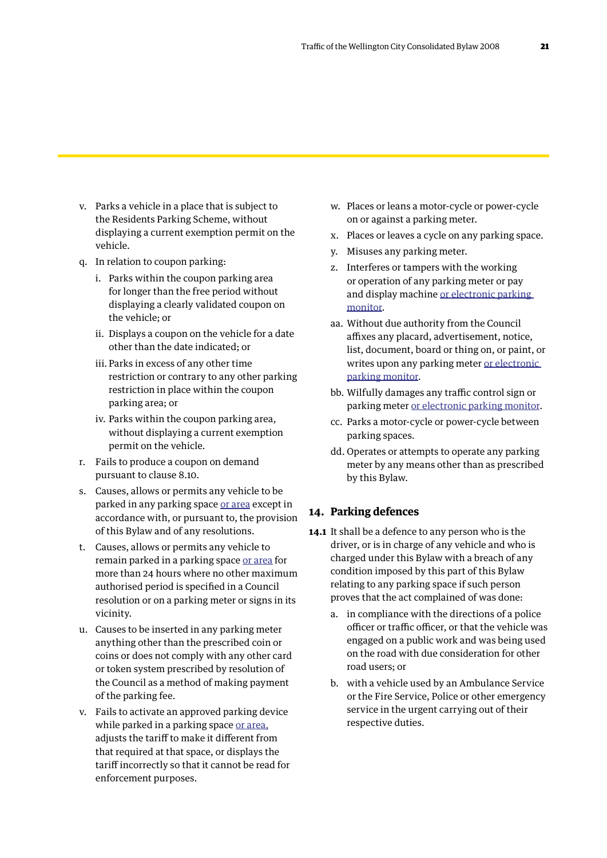- v. Parks a vehicle in a place that is subject to the Residents Parking Scheme, without displaying a current exemption permit on the vehicle.
- q. In relation to coupon parking:
	- i. Parks within the coupon parking area for longer than the free period without displaying a clearly validated coupon on the vehicle; or
	- ii. Displays a coupon on the vehicle for a date other than the date indicated; or
	- iii. Parks in excess of any other time restriction or contrary to any other parking restriction in place within the coupon parking area; or
	- iv. Parks within the coupon parking area, without displaying a current exemption permit on the vehicle.
- r. Fails to produce a coupon on demand pursuant to clause 8.10.
- s. Causes, allows or permits any vehicle to be parked in any parking space or area except in accordance with, or pursuant to, the provision of this Bylaw and of any resolutions.
- t. Causes, allows or permits any vehicle to remain parked in a parking space or area for more than 24 hours where no other maximum authorised period is specified in a Council resolution or on a parking meter or signs in its vicinity.
- u. Causes to be inserted in any parking meter anything other than the prescribed coin or coins or does not comply with any other card or token system prescribed by resolution of the Council as a method of making payment of the parking fee.
- v. Fails to activate an approved parking device while parked in a parking space or area, adjusts the tariff to make it different from that required at that space, or displays the tariff incorrectly so that it cannot be read for enforcement purposes.
- w. Places or leans a motor-cycle or power-cycle on or against a parking meter.
- x. Places or leaves a cycle on any parking space.
- y. Misuses any parking meter.
- z. Interferes or tampers with the working or operation of any parking meter or pay and display machine or electronic parking monitor.
- aa. Without due authority from the Council affixes any placard, advertisement, notice, list, document, board or thing on, or paint, or writes upon any parking meter or electronic parking monitor.
- bb. Wilfully damages any traffic control sign or parking meter or electronic parking monitor.
- cc. Parks a motor-cycle or power-cycle between parking spaces.
- dd. Operates or attempts to operate any parking meter by any means other than as prescribed by this Bylaw.

### **14. Parking defences**

- **14.1** It shall be a defence to any person who is the driver, or is in charge of any vehicle and who is charged under this Bylaw with a breach of any condition imposed by this part of this Bylaw relating to any parking space if such person proves that the act complained of was done:
	- a. in compliance with the directions of a police officer or traffic officer, or that the vehicle was engaged on a public work and was being used on the road with due consideration for other road users; or
	- b. with a vehicle used by an Ambulance Service or the Fire Service, Police or other emergency service in the urgent carrying out of their respective duties.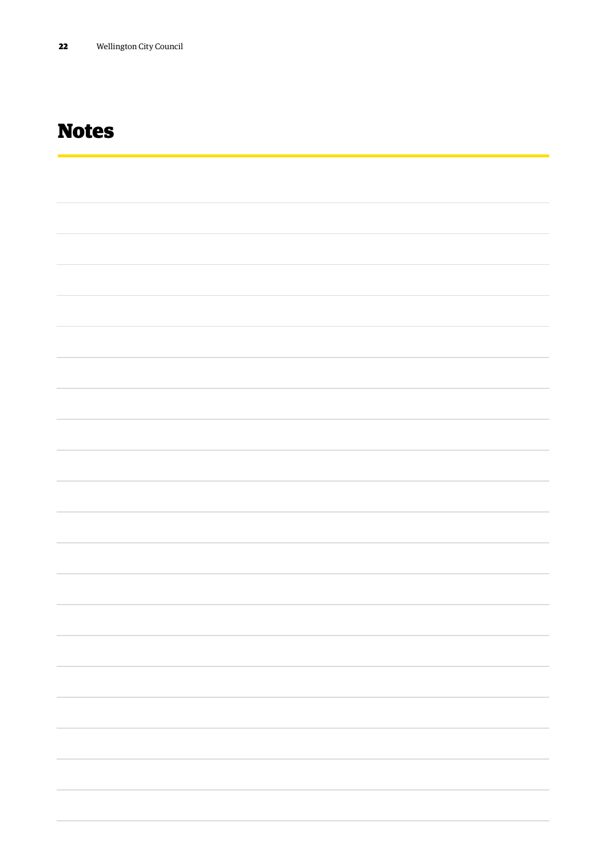# Notes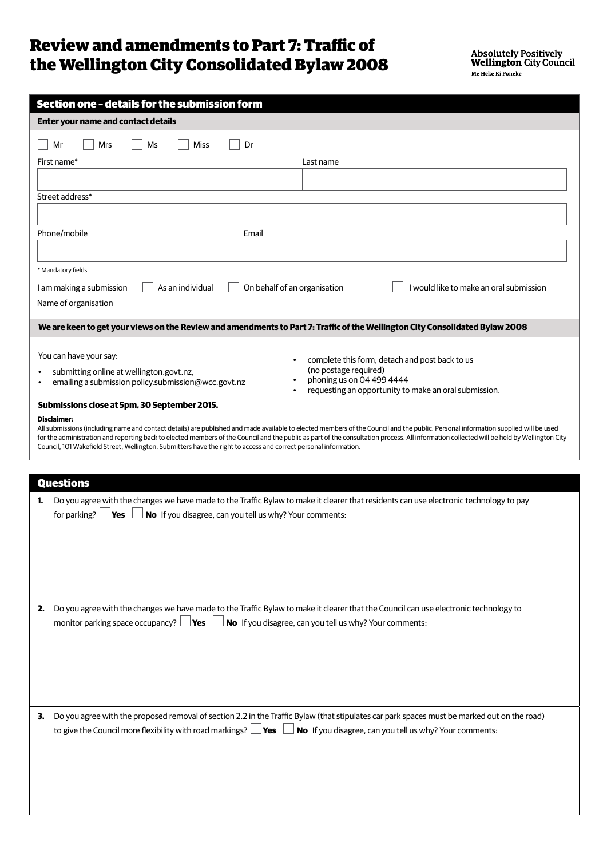## Review and amendments to Part 7: Traffic of the Wellington City Consolidated Bylaw 2008

|    | Section one - details for the submission form                                                                                                                                                                                                                                                                 |
|----|---------------------------------------------------------------------------------------------------------------------------------------------------------------------------------------------------------------------------------------------------------------------------------------------------------------|
|    | <b>Enter your name and contact details</b>                                                                                                                                                                                                                                                                    |
|    | <b>Miss</b><br>Mr<br>Mrs<br>Ms<br>Dr                                                                                                                                                                                                                                                                          |
|    | First name*<br>Last name                                                                                                                                                                                                                                                                                      |
|    |                                                                                                                                                                                                                                                                                                               |
|    | Street address*                                                                                                                                                                                                                                                                                               |
|    |                                                                                                                                                                                                                                                                                                               |
|    | Phone/mobile<br>Email                                                                                                                                                                                                                                                                                         |
|    |                                                                                                                                                                                                                                                                                                               |
|    | * Mandatory fields                                                                                                                                                                                                                                                                                            |
|    | As an individual<br>On behalf of an organisation<br>I would like to make an oral submission<br>I am making a submission                                                                                                                                                                                       |
|    | Name of organisation                                                                                                                                                                                                                                                                                          |
|    | We are keen to get your views on the Review and amendments to Part 7: Traffic of the Wellington City Consolidated Bylaw 2008                                                                                                                                                                                  |
|    |                                                                                                                                                                                                                                                                                                               |
|    | You can have your say:<br>complete this form, detach and post back to us                                                                                                                                                                                                                                      |
|    | (no postage required)<br>submitting online at wellington.govt.nz,                                                                                                                                                                                                                                             |
|    | phoning us on 04 499 4444<br>emailing a submission policy.submission@wcc.govt.nz<br>requesting an opportunity to make an oral submission.                                                                                                                                                                     |
|    | Submissions close at 5pm, 30 September 2015.                                                                                                                                                                                                                                                                  |
|    | <b>Disclaimer:</b><br>All submissions (including name and contact details) are published and made available to elected members of the Council and the public. Personal information supplied will be used                                                                                                      |
|    | for the administration and reporting back to elected members of the Council and the public as part of the consultation process. All information collected will be held by Wellington City<br>Council, 101 Wakefield Street, Wellington. Submitters have the right to access and correct personal information. |
|    |                                                                                                                                                                                                                                                                                                               |
|    | <b>Questions</b>                                                                                                                                                                                                                                                                                              |
|    |                                                                                                                                                                                                                                                                                                               |
| 1. | Do you agree with the changes we have made to the Traffic Bylaw to make it clearer that residents can use electronic technology to pay<br>No If you disagree, can you tell us why? Your comments:<br>for parking?<br>Yes                                                                                      |
|    |                                                                                                                                                                                                                                                                                                               |
|    |                                                                                                                                                                                                                                                                                                               |
|    |                                                                                                                                                                                                                                                                                                               |
|    |                                                                                                                                                                                                                                                                                                               |
|    |                                                                                                                                                                                                                                                                                                               |
| 2. | Do you agree with the changes we have made to the Traffic Bylaw to make it clearer that the Council can use electronic technology to                                                                                                                                                                          |
|    | monitor parking space occupancy? $\Box$ Yes<br>No If you disagree, can you tell us why? Your comments:                                                                                                                                                                                                        |
|    |                                                                                                                                                                                                                                                                                                               |
|    |                                                                                                                                                                                                                                                                                                               |
|    |                                                                                                                                                                                                                                                                                                               |
|    |                                                                                                                                                                                                                                                                                                               |
| 3. | Do you agree with the proposed removal of section 2.2 in the Traffic Bylaw (that stipulates car park spaces must be marked out on the road)                                                                                                                                                                   |
|    | to give the Council more flexibility with road markings? $\Box$ Yes $\Box$<br>No If you disagree, can you tell us why? Your comments:                                                                                                                                                                         |
|    |                                                                                                                                                                                                                                                                                                               |
|    |                                                                                                                                                                                                                                                                                                               |
|    |                                                                                                                                                                                                                                                                                                               |